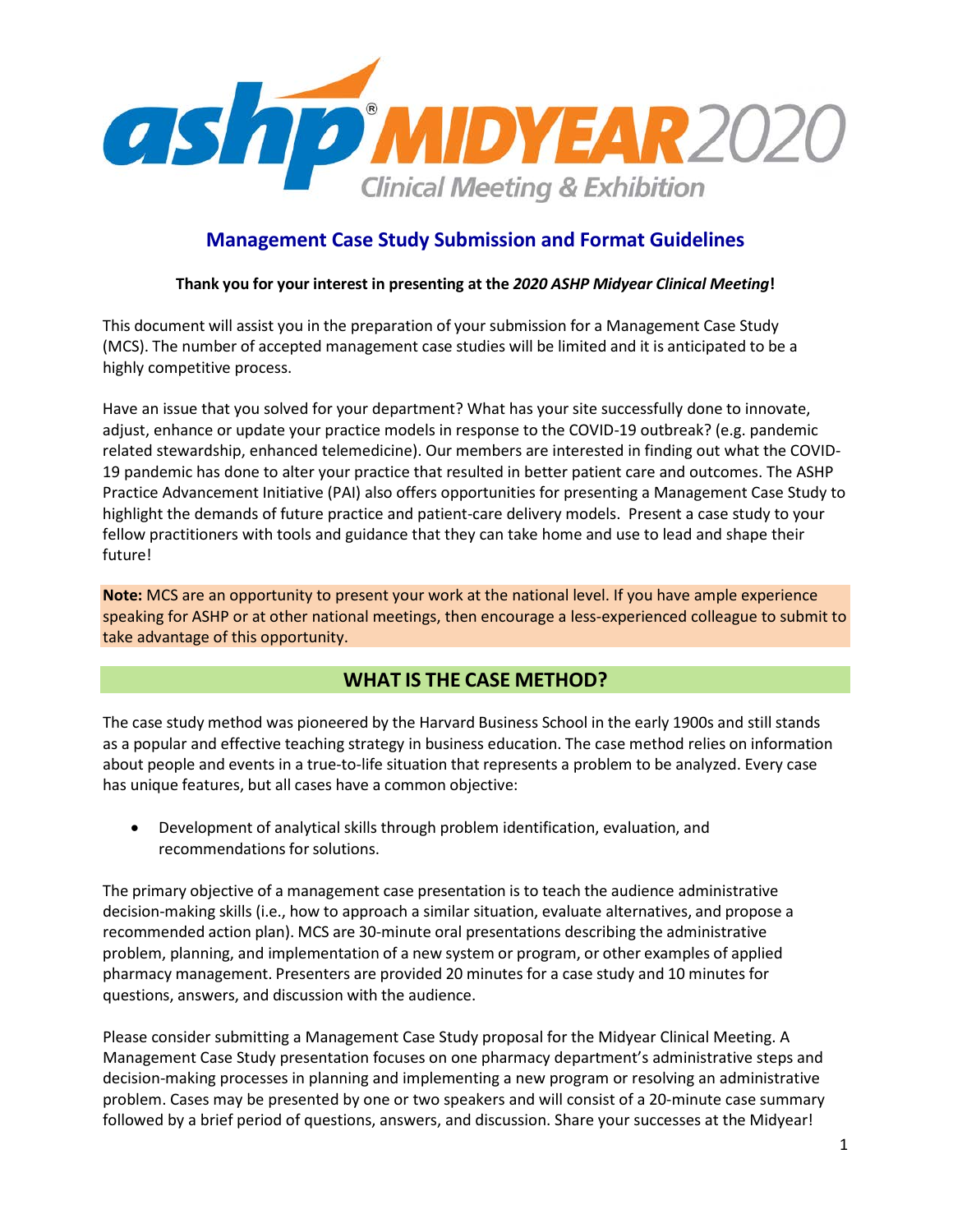

# **Management Case Study Submission and Format Guidelines**

## **Thank you for your interest in presenting at the** *2020 ASHP Midyear Clinical Meeting***!**

This document will assist you in the preparation of your submission for a Management Case Study (MCS). The number of accepted management case studies will be limited and it is anticipated to be a highly competitive process.

Have an issue that you solved for your department? What has your site successfully done to innovate, adjust, enhance or update your practice models in response to the COVID-19 outbreak? (e.g. pandemic related stewardship, enhanced telemedicine). Our members are interested in finding out what the COVID-19 pandemic has done to alter your practice that resulted in better patient care and outcomes. The ASHP Practice Advancement Initiative (PAI) also offers opportunities for presenting a Management Case Study to highlight the demands of future practice and patient-care delivery models. Present a case study to your fellow practitioners with tools and guidance that they can take home and use to lead and shape their future!

**Note:** MCS are an opportunity to present your work at the national level. If you have ample experience speaking for ASHP or at other national meetings, then encourage a less-experienced colleague to submit to take advantage of this opportunity.

# **WHAT IS THE CASE METHOD?**

The case study method was pioneered by the Harvard Business School in the early 1900s and still stands as a popular and effective teaching strategy in business education. The case method relies on information about people and events in a true-to-life situation that represents a problem to be analyzed. Every case has unique features, but all cases have a common objective:

• Development of analytical skills through problem identification, evaluation, and recommendations for solutions.

The primary objective of a management case presentation is to teach the audience administrative decision-making skills (i.e., how to approach a similar situation, evaluate alternatives, and propose a recommended action plan). MCS are 30-minute oral presentations describing the administrative problem, planning, and implementation of a new system or program, or other examples of applied pharmacy management. Presenters are provided 20 minutes for a case study and 10 minutes for questions, answers, and discussion with the audience.

Please consider submitting a Management Case Study proposal for the Midyear Clinical Meeting. A Management Case Study presentation focuses on one pharmacy department's administrative steps and decision-making processes in planning and implementing a new program or resolving an administrative problem. Cases may be presented by one or two speakers and will consist of a 20-minute case summary followed by a brief period of questions, answers, and discussion. Share your successes at the Midyear!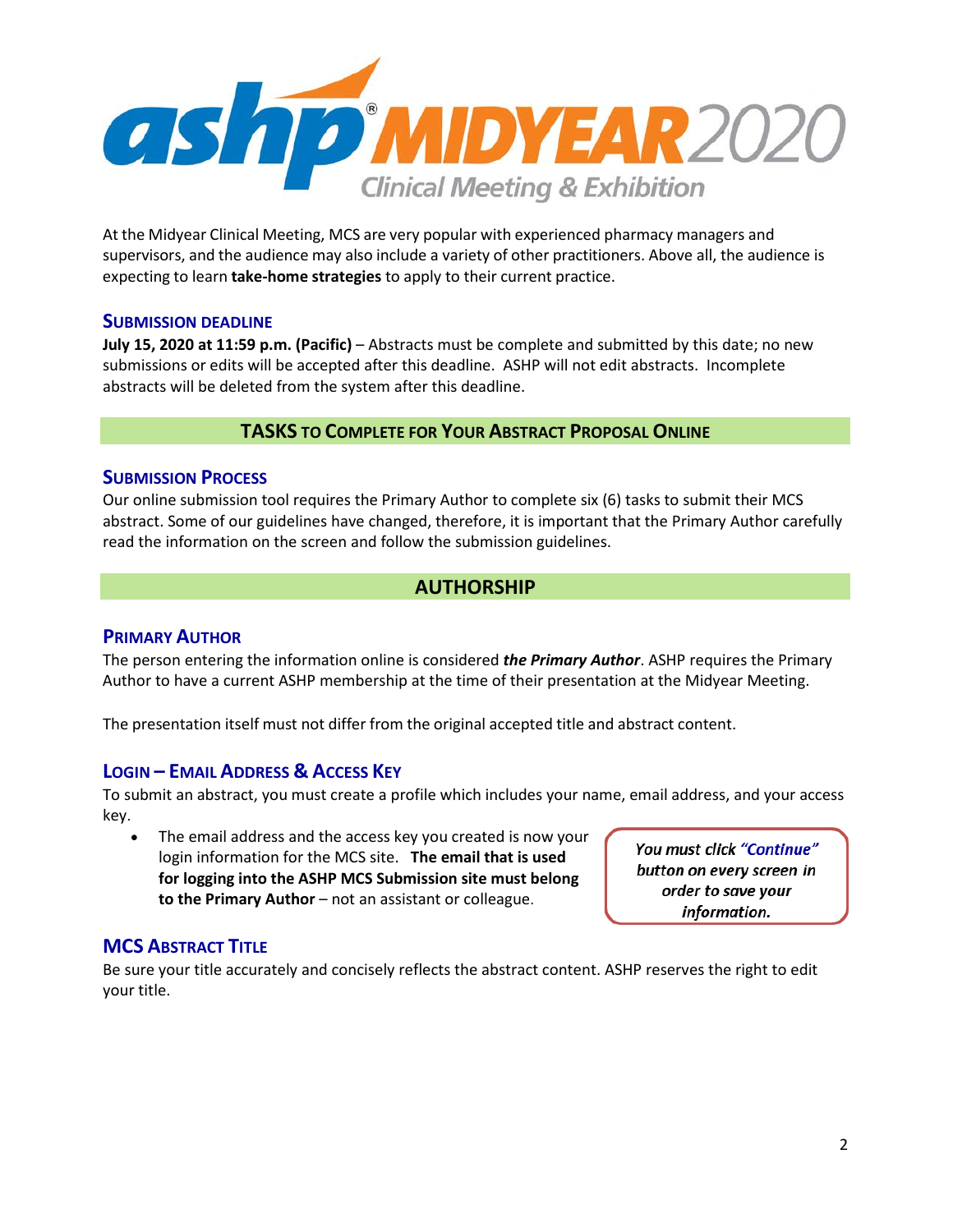

At the Midyear Clinical Meeting, MCS are very popular with experienced pharmacy managers and supervisors, and the audience may also include a variety of other practitioners. Above all, the audience is expecting to learn **take‐home strategies** to apply to their current practice.

## **SUBMISSION DEADLINE**

**July 15, 2020 at 11:59 p.m. (Pacific)** – Abstracts must be complete and submitted by this date; no new submissions or edits will be accepted after this deadline. ASHP will not edit abstracts. Incomplete abstracts will be deleted from the system after this deadline.

# **TASKS TO COMPLETE FOR YOUR ABSTRACT PROPOSAL ONLINE**

## **SUBMISSION PROCESS**

Our online submission tool requires the Primary Author to complete six (6) tasks to submit their MCS abstract. Some of our guidelines have changed, therefore, it is important that the Primary Author carefully read the information on the screen and follow the submission guidelines.

# **AUTHORSHIP**

## **PRIMARY AUTHOR**

The person entering the information online is considered *the Primary Author*. ASHP requires the Primary Author to have a current ASHP membership at the time of their presentation at the Midyear Meeting.

The presentation itself must not differ from the original accepted title and abstract content.

## **LOGIN – EMAIL ADDRESS & ACCESS KEY**

To submit an abstract, you must create a profile which includes your name, email address, and your access key.

The email address and the access key you created is now your login information for the MCS site. **The email that is used for logging into the ASHP MCS Submission site must belong to the Primary Author** – not an assistant or colleague.

You must click "Continue" button on every screen in order to save your information.

## **MCS ABSTRACT TITLE**

Be sure your title accurately and concisely reflects the abstract content. ASHP reserves the right to edit your title.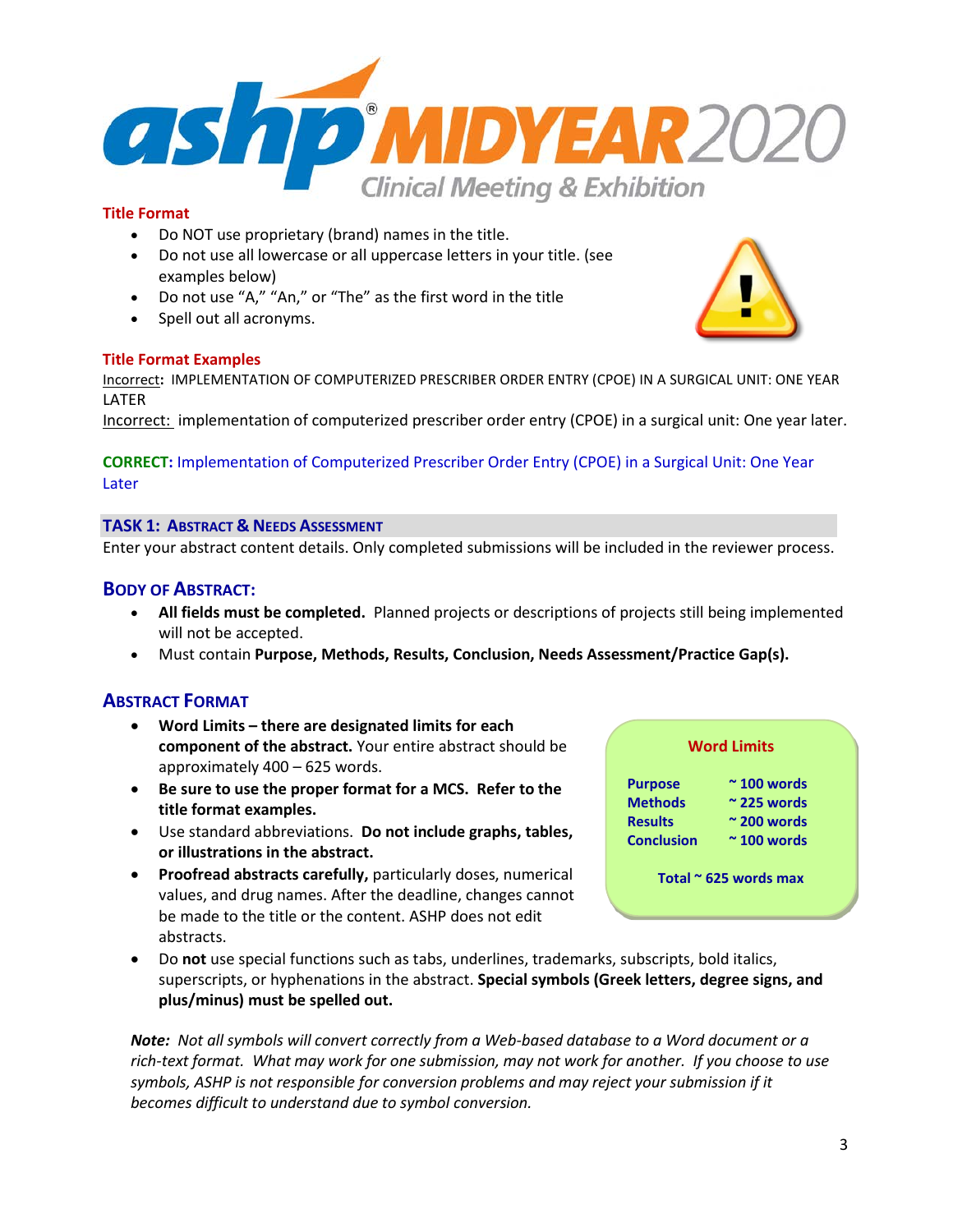

- Do NOT use proprietary (brand) names in the title.
- Do not use all lowercase or all uppercase letters in your title. (see examples below)
- Do not use "A," "An," or "The" as the first word in the title
- Spell out all acronyms.

## **Title Format Examples**

Incorrect**:** IMPLEMENTATION OF COMPUTERIZED PRESCRIBER ORDER ENTRY (CPOE) IN A SURGICAL UNIT: ONE YEAR **LATER** 

Incorrect: implementation of computerized prescriber order entry (CPOE) in a surgical unit: One year later.

## **CORRECT:** Implementation of Computerized Prescriber Order Entry (CPOE) in a Surgical Unit: One Year Later

## **TASK 1: ABSTRACT & NEEDS ASSESSMENT**

Enter your abstract content details. Only completed submissions will be included in the reviewer process.

## **BODY OF ABSTRACT:**

- **All fields must be completed.** Planned projects or descriptions of projects still being implemented will not be accepted.
- Must contain **Purpose, Methods, Results, Conclusion, Needs Assessment/Practice Gap(s).**

## **ABSTRACT FORMAT**

- **Word Limits – there are designated limits for each component of the abstract.** Your entire abstract should be approximately 400 – 625 words.
- **Be sure to use the proper format for a MCS. Refer to the title format examples.**
- Use standard abbreviations. **Do not include graphs, tables, or illustrations in the abstract.**
- **Proofread abstracts carefully,** particularly doses, numerical values, and drug names. After the deadline, changes cannot be made to the title or the content. ASHP does not edit abstracts.
- Do **not** use special functions such as tabs, underlines, trademarks, subscripts, bold italics, superscripts, or hyphenations in the abstract. **Special symbols (Greek letters, degree signs, and plus/minus) must be spelled out.**

*Note: Not all symbols will convert correctly from a Web‐based database to a Word document or a rich‐text format. What may work for one submission, may not work for another. If you choose to use symbols, ASHP is not responsible for conversion problems and may reject your submission if it becomes difficult to understand due to symbol conversion.*



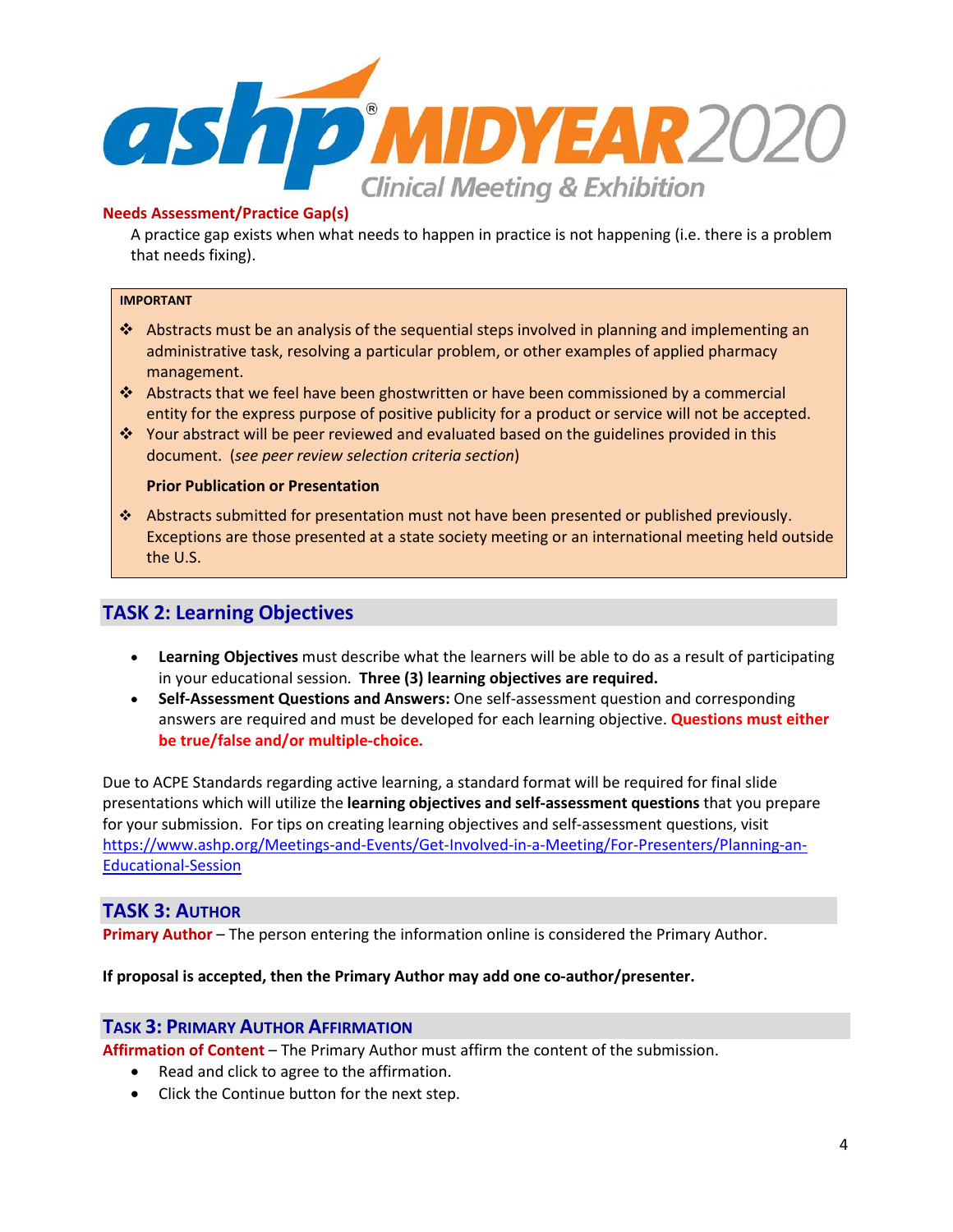

## **Needs Assessment/Practice Gap(s)**

A practice gap exists when what needs to happen in practice is not happening (i.e. there is a problem that needs fixing).

#### **IMPORTANT**

- Abstracts must be an analysis of the sequential steps involved in planning and implementing an administrative task, resolving a particular problem, or other examples of applied pharmacy management.
- Abstracts that we feel have been ghostwritten or have been commissioned by a commercial entity for the express purpose of positive publicity for a product or service will not be accepted.
- Your abstract will be peer reviewed and evaluated based on the guidelines provided in this document. (*see peer review selection criteria section*)

### **Prior Publication or Presentation**

 Abstracts submitted for presentation must not have been presented or published previously. Exceptions are those presented at a state society meeting or an international meeting held outside the U.S.

# **TASK 2: Learning Objectives**

- **Learning Objectives** must describe what the learners will be able to do as a result of participating in your educational session. **Three (3) learning objectives are required.**
- **Self-Assessment Questions and Answers:** One self-assessment question and corresponding answers are required and must be developed for each learning objective. **Questions must either be true/false and/or multiple-choice.**

Due to ACPE Standards regarding active learning, a standard format will be required for final slide presentations which will utilize the **learning objectives and self‐assessment questions** that you prepare for your submission. For tips on creating learning objectives and self-assessment questions, visit [https://www.ashp.org/Meetings-and-Events/Get-Involved-in-a-Meeting/For-Presenters/Planning-an-](https://www.ashp.org/Meetings-and-Events/Get-Involved-in-a-Meeting/For-Presenters/Planning-an-Educational-Session)[Educational-Session](https://www.ashp.org/Meetings-and-Events/Get-Involved-in-a-Meeting/For-Presenters/Planning-an-Educational-Session)

## **TASK 3: AUTHOR**

**Primary Author** – The person entering the information online is considered the Primary Author.

### **If proposal is accepted, then the Primary Author may add one co-author/presenter.**

## **TASK 3: PRIMARY AUTHOR AFFIRMATION**

**Affirmation of Content** – The Primary Author must affirm the content of the submission.

- Read and click to agree to the affirmation.
- Click the Continue button for the next step.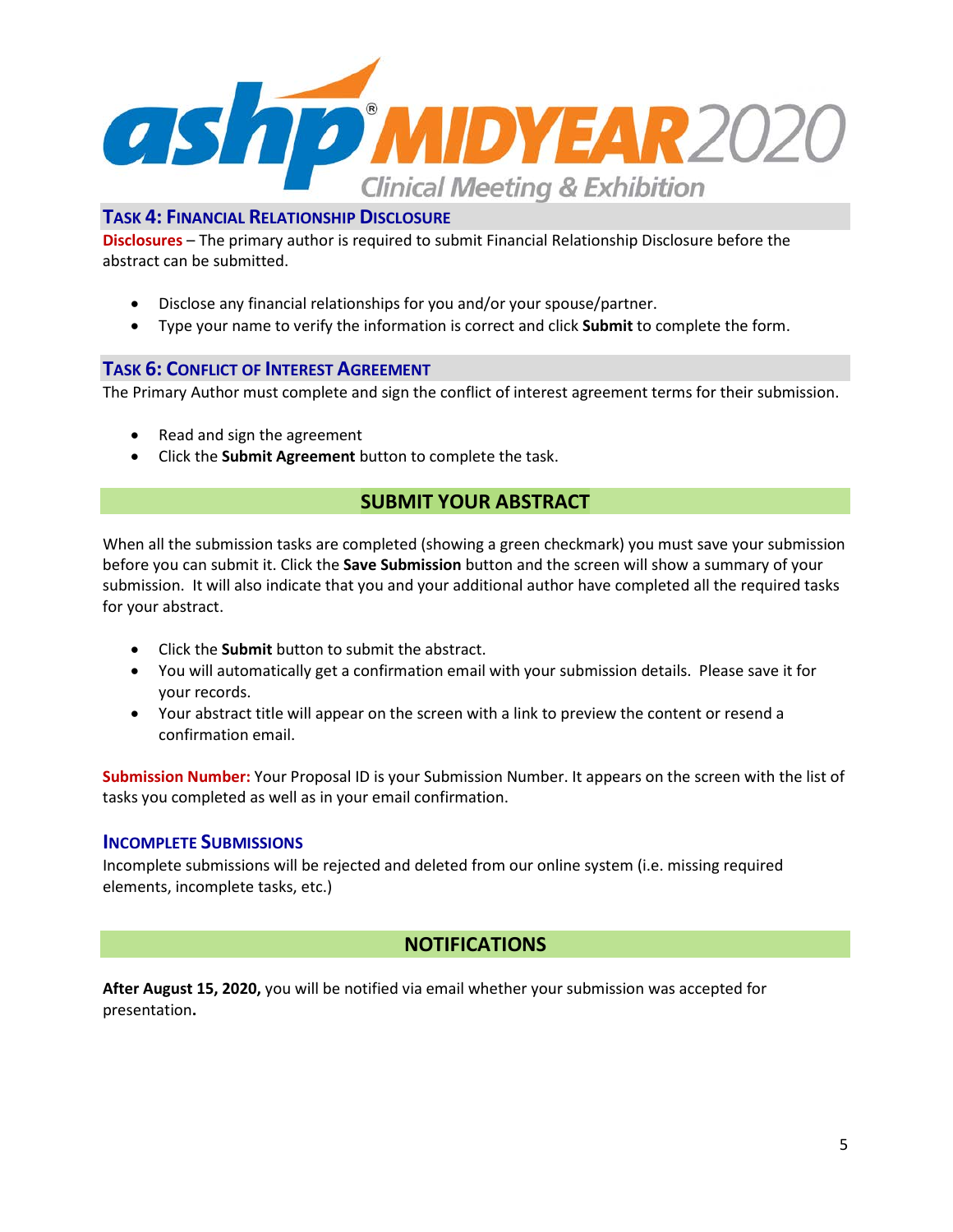

**Disclosures** – The primary author is required to submit Financial Relationship Disclosure before the abstract can be submitted.

- Disclose any financial relationships for you and/or your spouse/partner.
- Type your name to verify the information is correct and click **Submit** to complete the form.

## **TASK 6: CONFLICT OF INTEREST AGREEMENT**

The Primary Author must complete and sign the conflict of interest agreement terms for their submission.

- Read and sign the agreement
- Click the **Submit Agreement** button to complete the task.

# **SUBMIT YOUR ABSTRACT**

When all the submission tasks are completed (showing a green checkmark) you must save your submission before you can submit it. Click the **Save Submission** button and the screen will show a summary of your submission. It will also indicate that you and your additional author have completed all the required tasks for your abstract.

- Click the **Submit** button to submit the abstract.
- You will automatically get a confirmation email with your submission details. Please save it for your records.
- Your abstract title will appear on the screen with a link to preview the content or resend a confirmation email.

**Submission Number:** Your Proposal ID is your Submission Number. It appears on the screen with the list of tasks you completed as well as in your email confirmation.

## **INCOMPLETE SUBMISSIONS**

Incomplete submissions will be rejected and deleted from our online system (i.e. missing required elements, incomplete tasks, etc.)

# **NOTIFICATIONS**

**After August 15, 2020,** you will be notified via email whether your submission was accepted for presentation**.**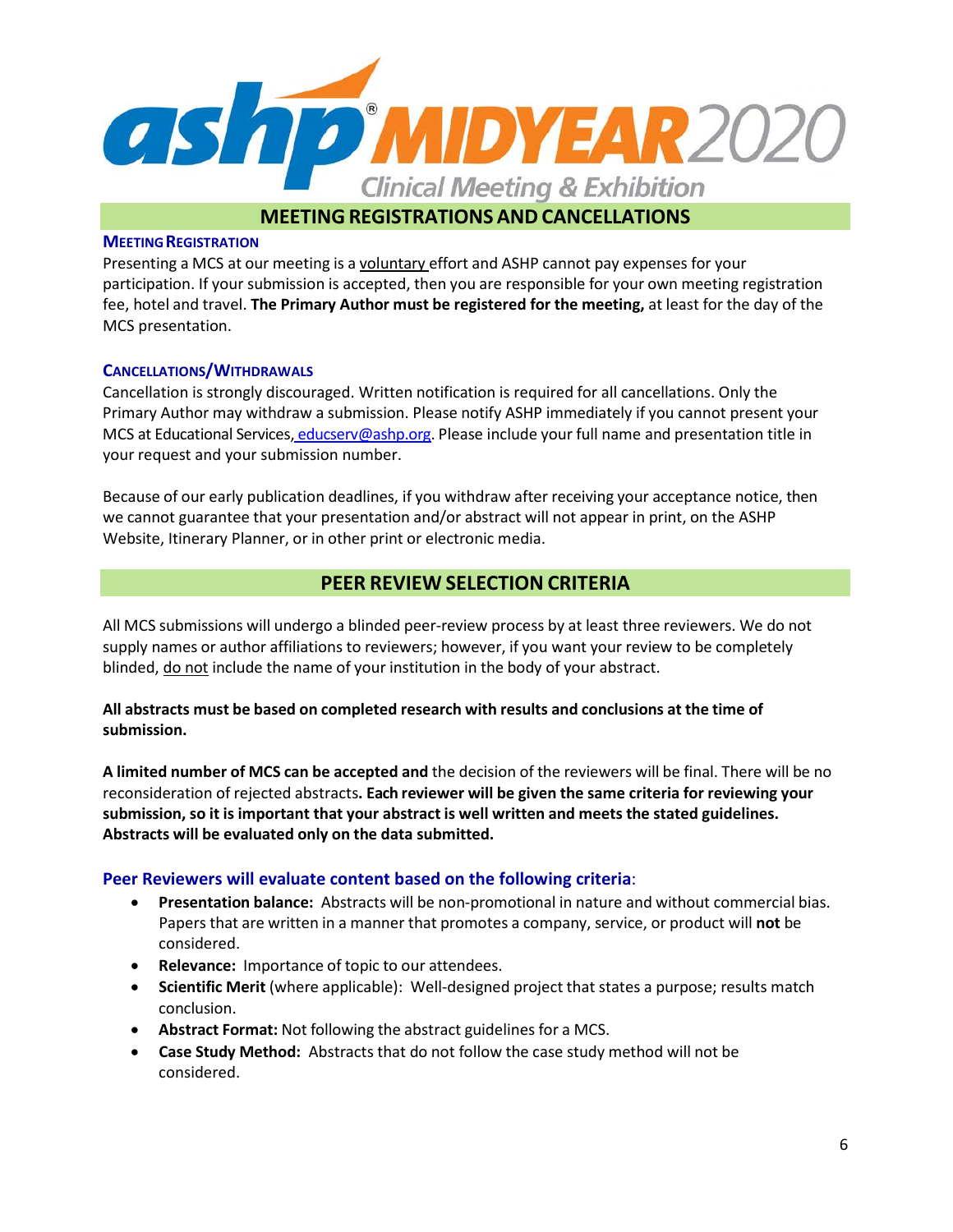

## **MEETING REGISTRATION**

Presenting a MCS at our meeting is a voluntary effort and ASHP cannot pay expenses for your participation. If your submission is accepted, then you are responsible for your own meeting registration fee, hotel and travel. **The Primary Author must be registered for the meeting,** at least for the day of the MCS presentation.

## **CANCELLATIONS/WITHDRAWALS**

Cancellation is strongly discouraged. Written notification is required for all cancellations. Only the Primary Author may withdraw a submission. Please notify ASHP immediately if you cannot present your MCS at Educational Services, [educserv@ashp.org.](mailto:educserv@ashp.org) Please include your full name and presentation title in your request and your submission number.

Because of our early publication deadlines, if you withdraw after receiving your acceptance notice, then we cannot guarantee that your presentation and/or abstract will not appear in print, on the ASHP Website, Itinerary Planner, or in other print or electronic media.

# **PEER REVIEW SELECTION CRITERIA**

All MCS submissions will undergo a blinded peer-review process by at least three reviewers. We do not supply names or author affiliations to reviewers; however, if you want your review to be completely blinded, do not include the name of your institution in the body of your abstract.

**All abstracts must be based on completed research with results and conclusions at the time of submission.**

**A limited number of MCS can be accepted and** the decision of the reviewers will be final. There will be no reconsideration of rejected abstracts**. Each reviewer will be given the same criteria for reviewing your submission, so it is important that your abstract is well written and meets the stated guidelines. Abstracts will be evaluated only on the data submitted.**

## **Peer Reviewers will evaluate content based on the following criteria**:

- **Presentation balance:** Abstracts will be non-promotional in nature and without commercial bias. Papers that are written in a manner that promotes a company, service, or product will **not** be considered.
- **Relevance:** Importance of topic to our attendees.
- **Scientific Merit** (where applicable): Well-designed project that states a purpose; results match conclusion.
- **Abstract Format:** Not following the abstract guidelines for a MCS.
- **Case Study Method:** Abstracts that do not follow the case study method will not be considered.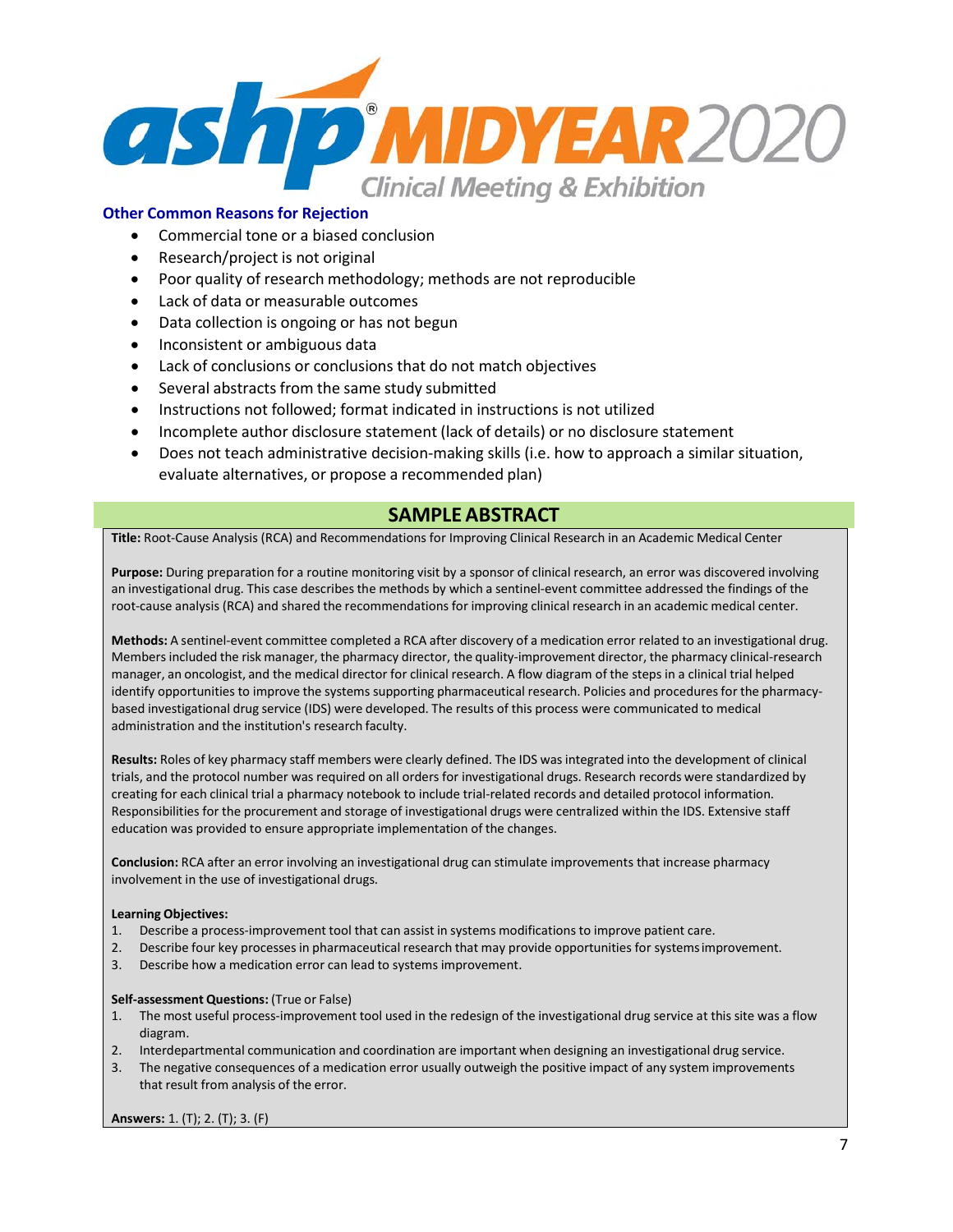

## **Other Common Reasons for Rejection**

- Commercial tone or a biased conclusion
- Research/project is not original
- Poor quality of research methodology; methods are not reproducible
- Lack of data or measurable outcomes
- Data collection is ongoing or has not begun
- Inconsistent or ambiguous data
- Lack of conclusions or conclusions that do not match objectives
- Several abstracts from the same study submitted
- Instructions not followed; format indicated in instructions is not utilized
- Incomplete author disclosure statement (lack of details) or no disclosure statement
- Does not teach administrative decision-making skills (i.e. how to approach a similar situation, evaluate alternatives, or propose a recommended plan)

## **SAMPLE ABSTRACT**

**Title:** Root-Cause Analysis (RCA) and Recommendations for Improving Clinical Research in an Academic Medical Center

**Purpose:** During preparation for a routine monitoring visit by a sponsor of clinical research, an error was discovered involving an investigational drug. This case describes the methods by which a sentinel-event committee addressed the findings of the root-cause analysis (RCA) and shared the recommendations for improving clinical research in an academic medical center.

**Methods:** A sentinel-event committee completed a RCA after discovery of a medication error related to an investigational drug. Members included the risk manager, the pharmacy director, the quality-improvement director, the pharmacy clinical-research manager, an oncologist, and the medical director for clinical research. A flow diagram of the steps in a clinical trial helped identify opportunities to improve the systems supporting pharmaceutical research. Policies and procedures for the pharmacybased investigational drug service (IDS) were developed. The results of this process were communicated to medical administration and the institution's research faculty.

**Results:** Roles of key pharmacy staff members were clearly defined. The IDS was integrated into the development of clinical trials, and the protocol number was required on all orders for investigational drugs. Research records were standardized by creating for each clinical trial a pharmacy notebook to include trial-related records and detailed protocol information. Responsibilities for the procurement and storage of investigational drugs were centralized within the IDS. Extensive staff education was provided to ensure appropriate implementation of the changes.

**Conclusion:** RCA after an error involving an investigational drug can stimulate improvements that increase pharmacy involvement in the use of investigational drugs.

#### **Learning Objectives:**

- 1. Describe a process-improvement tool that can assist in systems modifications to improve patient care.
- 2. Describe four key processes in pharmaceutical research that may provide opportunities for systemsimprovement.
- 3. Describe how a medication error can lead to systems improvement.

#### **Self‐assessment Questions:** (True or False)

- 1. The most useful process-improvement tool used in the redesign of the investigational drug service at this site was a flow diagram.
- 2. Interdepartmental communication and coordination are important when designing an investigational drug service.
- 3. The negative consequences of a medication error usually outweigh the positive impact of any system improvements that result from analysis of the error.

**Answers:** 1. (T); 2. (T); 3. (F)